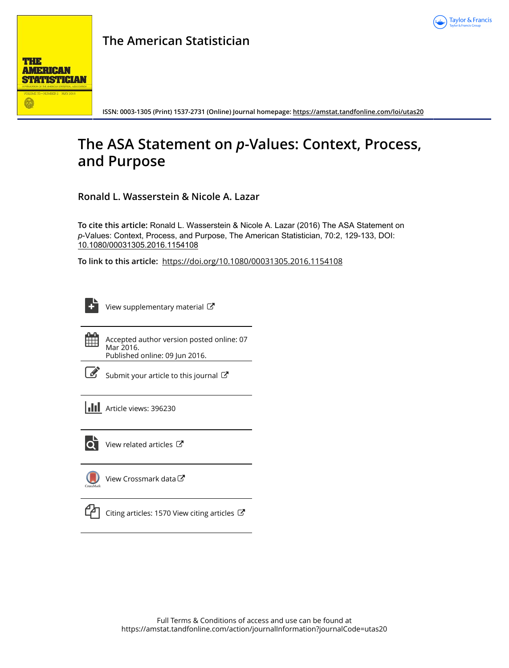



**ISSN: 0003-1305 (Print) 1537-2731 (Online) Journal homepage:<https://amstat.tandfonline.com/loi/utas20>**

# **The ASA Statement on** *p***-Values: Context, Process, and Purpose**

**Ronald L. Wasserstein & Nicole A. Lazar**

**To cite this article:** Ronald L. Wasserstein & Nicole A. Lazar (2016) The ASA Statement on *p*-Values: Context, Process, and Purpose, The American Statistician, 70:2, 129-133, DOI: [10.1080/00031305.2016.1154108](https://amstat.tandfonline.com/action/showCitFormats?doi=10.1080/00031305.2016.1154108)

**To link to this article:** <https://doi.org/10.1080/00031305.2016.1154108>

[View supplementary material](https://amstat.tandfonline.com/doi/suppl/10.1080/00031305.2016.1154108)  $\mathbb{Z}$ 



Accepted author version posted online: 07 Mar 2016. Published online: 09 Jun 2016.

[Submit your article to this journal](https://amstat.tandfonline.com/action/authorSubmission?journalCode=utas20&show=instructions)  $\mathbb{Z}$ 





 $\overrightarrow{Q}$  [View related articles](https://amstat.tandfonline.com/doi/mlt/10.1080/00031305.2016.1154108)  $\overrightarrow{C}$ 

[View Crossmark data](http://crossmark.crossref.org/dialog/?doi=10.1080/00031305.2016.1154108&domain=pdf&date_stamp=2016-03-07)  $\mathbb{Z}$ 



 $\Box$  [Citing articles: 1570 View citing articles](https://amstat.tandfonline.com/doi/citedby/10.1080/00031305.2016.1154108#tabModule)  $\Box$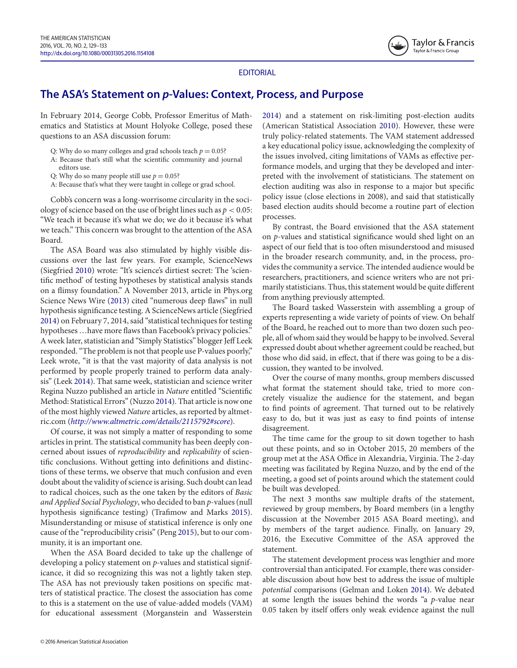<span id="page-1-0"></span>

# EDITORIAL

# **The ASA's Statement on** *p***-Values: Context, Process, and Purpose**

In February 2014, George Cobb, Professor Emeritus of Mathematics and Statistics at Mount Holyoke College, posed these questions to an ASA discussion forum:

- Q: Why do so many colleges and grad schools teach  $p = 0.05$ ?
- A: Because that's still what the scientific community and journal
- editors use.
- Q: Why do so many people still use  $p = 0.05$ ?
- A: Because that's what they were taught in college or grad school.

Cobb's concern was a long-worrisome circularity in the sociology of science based on the use of bright lines such as *p <* 0.05: "We teach it because it's what we do; we do it because it's what we teach." This concern was brought to the attention of the ASA Board.

<span id="page-1-8"></span><span id="page-1-7"></span><span id="page-1-6"></span>The ASA Board was also stimulated by highly visible discussions over the last few years. For example, ScienceNews (Siegfried [2010\)](#page-3-0) wrote: "It's science's dirtiest secret: The 'scientific method' of testing hypotheses by statistical analysis stands on a flimsy foundation." A November 2013, article in Phys.org Science News Wire [\(2013\)](#page-2-0) cited "numerous deep flaws" in null hypothesis significance testing. A ScienceNews article (Siegfried [2014\)](#page-3-1) on February 7, 2014, said "statistical techniques for testing hypotheses ... have more flaws than Facebook's privacy policies." A week later, statistician and "Simply Statistics" blogger Jeff Leek responded. "The problem is not that people use P-values poorly," Leek wrote, "it is that the vast majority of data analysis is not performed by people properly trained to perform data analysis" (Leek [2014\)](#page-2-1). That same week, statistician and science writer Regina Nuzzo published an article in *Nature* entitled "Scientific Method: Statistical Errors" (Nuzzo [2014\)](#page-2-2). That article is now one of the most highly viewed *Nature* articles, as reported by altmetric.com (*[http://www.altmetric.com/details/2115792#score](http://www.altmetric.com/details/2115792\043score)*).

<span id="page-1-2"></span>Of course, it was not simply a matter of responding to some articles in print. The statistical community has been deeply concerned about issues of *reproducibility* and *replicability* of scientific conclusions. Without getting into definitions and distinctions of these terms, we observe that much confusion and even doubt about the validity of science is arising. Such doubt can lead to radical choices, such as the one taken by the editors of *Basic and Applied Social Psychology*, who decided to ban *p*-values (null hypothesis significance testing) (Trafimow and Marks [2015\)](#page-3-2). Misunderstanding or misuse of statistical inference is only one cause of the "reproducibility crisis" (Peng [2015\)](#page-2-3), but to our community, it is an important one.

When the ASA Board decided to take up the challenge of developing a policy statement on *p*-values and statistical significance, it did so recognizing this was not a lightly taken step. The ASA has not previously taken positions on specific matters of statistical practice. The closest the association has come to this is a statement on the use of value-added models (VAM) for educational assessment (Morganstein and Wasserstein

<span id="page-1-3"></span>[2014\)](#page-2-4) and a statement on risk-limiting post-election audits (American Statistical Association [2010\)](#page-2-5). However, these were truly policy-related statements. The VAM statement addressed a key educational policy issue, acknowledging the complexity of the issues involved, citing limitations of VAMs as effective performance models, and urging that they be developed and interpreted with the involvement of statisticians. The statement on election auditing was also in response to a major but specific policy issue (close elections in 2008), and said that statistically based election audits should become a routine part of election processes.

By contrast, the Board envisioned that the ASA statement on *p*-values and statistical significance would shed light on an aspect of our field that is too often misunderstood and misused in the broader research community, and, in the process, provides the community a service. The intended audience would be researchers, practitioners, and science writers who are not primarily statisticians. Thus, this statement would be quite different from anything previously attempted.

The Board tasked Wasserstein with assembling a group of experts representing a wide variety of points of view. On behalf of the Board, he reached out to more than two dozen such people, all of whom said they would be happy to be involved. Several expressed doubt about whether agreement could be reached, but those who did said, in effect, that if there was going to be a discussion, they wanted to be involved.

Over the course of many months, group members discussed what format the statement should take, tried to more concretely visualize the audience for the statement, and began to find points of agreement. That turned out to be relatively easy to do, but it was just as easy to find points of intense disagreement.

<span id="page-1-4"></span>The time came for the group to sit down together to hash out these points, and so in October 2015, 20 members of the group met at the ASA Office in Alexandria, Virginia. The 2-day meeting was facilitated by Regina Nuzzo, and by the end of the meeting, a good set of points around which the statement could be built was developed.

<span id="page-1-9"></span>The next 3 months saw multiple drafts of the statement, reviewed by group members, by Board members (in a lengthy discussion at the November 2015 ASA Board meeting), and by members of the target audience. Finally, on January 29, 2016, the Executive Committee of the ASA approved the statement.

<span id="page-1-5"></span><span id="page-1-1"></span>The statement development process was lengthier and more controversial than anticipated. For example, there was considerable discussion about how best to address the issue of multiple *potential* comparisons (Gelman and Loken [2014\)](#page-2-6). We debated at some length the issues behind the words "a *p*-value near 0.05 taken by itself offers only weak evidence against the null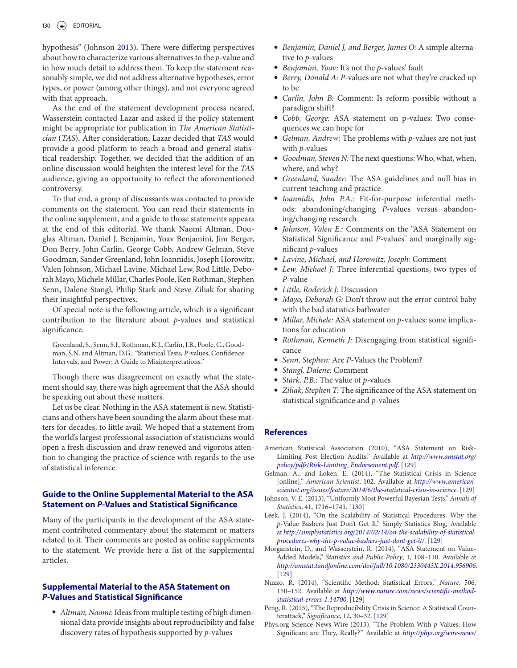hypothesis" (Johnson [2013\)](#page-2-7). There were differing perspectives about how to characterize various alternatives to the *p*-value and in how much detail to address them. To keep the statement reasonably simple, we did not address alternative hypotheses, error types, or power (among other things), and not everyone agreed with that approach.

As the end of the statement development process neared, Wasserstein contacted Lazar and asked if the policy statement might be appropriate for publication in *The American Statistician* (*TAS*). After consideration, Lazar decided that *TAS* would provide a good platform to reach a broad and general statistical readership. Together, we decided that the addition of an online discussion would heighten the interest level for the *TAS* audience, giving an opportunity to reflect the aforementioned controversy.

To that end, a group of discussants was contacted to provide comments on the statement. You can read their statements in the online supplement, and a guide to those statements appears at the end of this editorial. We thank Naomi Altman, Douglas Altman, Daniel J. Benjamin, Yoav Benjamini, Jim Berger, Don Berry, John Carlin, George Cobb, Andrew Gelman, Steve Goodman, Sander Greenland, John Ioannidis, Joseph Horowitz, Valen Johnson, Michael Lavine, Michael Lew, Rod Little, Deborah Mayo, Michele Millar, Charles Poole, Ken Rothman, Stephen Senn, Dalene Stangl, Philip Stark and Steve Ziliak for sharing their insightful perspectives.

Of special note is the following article, which is a significant contribution to the literature about *p*-values and statistical significance.

Greenland, S., Senn, S.J., Rothman, K.J., Carlin, J.B., Poole, C., Goodman, S.N. and Altman, D.G.: "Statistical Tests, *P*-values, Confidence Intervals, and Power: A Guide to Misinterpretations."

Though there was disagreement on exactly what the statement should say, there was high agreement that the ASA should be speaking out about these matters.

Let us be clear. Nothing in the ASA statement is new. Statisticians and others have been sounding the alarm about these matters for decades, to little avail. We hoped that a statement from the world's largest professional association of statisticians would open a fresh discussion and draw renewed and vigorous attention to changing the practice of science with regards to the use of statistical inference.

# **Guide to the Online Supplemental Material to the ASA Statement on** *P***-Values and Statistical Significance**

Many of the participants in the development of the ASA statement contributed commentary about the statement or matters related to it. Their comments are posted as online supplements to the statement. We provide here a list of the supplemental articles.

# **Supplemental Material to the ASA Statement on** *P***-Values and Statistical Significance**

- *Altman, Naomi*: Ideas from multiple testing of high dimensional data provide insights about reproducibility and false discovery rates of hypothesis supported by *p*-values

- *Benjamin, Daniel J, and Berger, James O:* A simple alternative to *p*-values<br>• Benjamini, Yoav: It's not the *p*-values' fault
- 
- *Benjamini, Yoav:* It's not the *<sup>p</sup>*-values' fault *Berry, Donald A: P*-values are not what they're cracked up to be
- *Carlin, John B:* Comment: Is reform possible without a paradigm shift?
- *Cobb, George:* ASA statement on p-values: Two consequences we can hope for
- *Gelman, Andrew:* The problems with *p*-values are not just
- with *p*-values<br>Goodman, Steven N: The next questions: Who, what, when, where, and why?
- *Greenland, Sander:* The ASA guidelines and null bias in current teaching and practice
- *Ioannidis, John P.A.:* Fit-for-purpose inferential methods: abandoning/changing *P*-values versus abandoning/changing research
- *Johnson, Valen E.:* Comments on the "ASA Statement on Statistical Significance and *P*-values" and marginally significant *p*-values<br>
• Lavine, Michael, and Horowitz, Joseph: Comment
- 
- *Lavine, Michael, and Horowitz, Joseph:* Comment *Lew, Michael J:* Three inferential questions, two types of *P*-value<br>*• Little, Roderick J: Discussion*
- 
- **Little, Roderick J: Discussion<br>•** *Mayo, Deborah G***: Don't throw out the error control baby** with the bad statistics bathwater
- *Millar, Michele:* ASA statement on *p*-values: some implications for education
- *Rothman, Kenneth J:* Disengaging from statistical significance
- Senn, Stephen: Are *P*-Values the Problem?<br>Stangl, Dalene: Comment
- 
- *Stangl, Dalene: Comment*<br>• *Stark, P.B.: The value of p-values*
- *Stark, P.B.:* The value of *<sup>p</sup>*-values *Ziliak, Stephen T:* The significance of the ASA statement on statistical significance and *p*-values

## **References**

- <span id="page-2-5"></span>American Statistical Association (2010), "ASA Statement on Risk-[Limiting Post Election Audits." Available at](http://www.amstat.org/policy/pdfs/Risk-Limiting_Endorsement.pdf) *http://www.amstat.org/ policy/pdfs/Risk-Limiting\_Endorsement.pdf*. [\[129\]](#page-1-0)
- <span id="page-2-6"></span>Gelman, A., and Loken, E. (2014), "The Statistical Crisis in Science [online]," *American Scientist*, 102. Available at *http://www.american[scientist.org/issues/feature/2014/6/the-statistical-crisis-in-science](http://www.americanscientist.org/issues/feature/2014/6/the-statistical-crisis-in-science)*. [\[129\]](#page-1-1)
- <span id="page-2-7"></span>Johnson, V. E. (2013), "Uniformly Most Powerful Bayesian Tests," *Annals of Statistics*, 41, 1716–1741. [130]
- <span id="page-2-1"></span>Leek, J. (2014), "On the Scalability of Statistical Procedures: Why the *p*-Value Bashers Just Don't Get It," Simply Statistics Blog, Available at *[http://simplystatistics.org/2014/02/14/on-the-scalability-of-statistical](http://simplystatistics.org/2014/02/14/on-the-scalability-of-statistical-procedures-why-the-p-value-bashers-just-dont-get-it/)procedures-why-the-p-value-bashers-just-dont-get-it/*. [\[129\]](#page-1-2)
- <span id="page-2-4"></span>Morganstein, D., and Wasserstein, R. (2014), "ASA Statement on Value-Added Models," *Statistics and Public Policy*, 1, 108–110. Available at *<http://amstat.tandfonline.com/doi/full/10.1080/2330443X.2014.956906>*. [\[129\]](#page-1-3)
- <span id="page-2-2"></span>Nuzzo, R. (2014), "Scientific Method: Statistical Errors," *Nature*, 506, 150–152. Available at *[http://www.nature.com/news/scientific-method](http://www.nature.com/news/scientific-method-statistical-errors-1.14700)statistical-errors-1.14700*. [\[129\]](#page-1-4)
- <span id="page-2-3"></span>Peng, R. (2015), "The Reproducibility Crisis in Science: A Statistical Counterattack," *Significance*, 12, 30–32. [\[129\]](#page-1-5)
- <span id="page-2-0"></span>Phys.org Science News Wire (2013), "The Problem With *p* Values: How Significant are They, Really?" Available at *[http://phys.org/wire-news/](http://phys.org/wire-news/145707973/the-problem-with-p-values-how-significant-are-they-really.html)*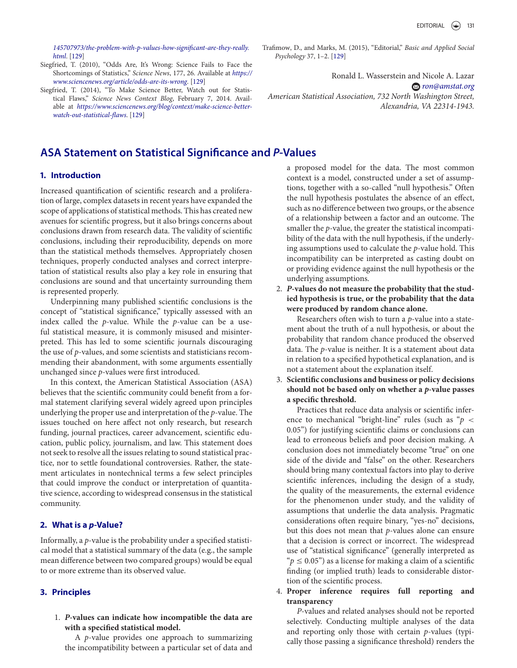*[145707973/the-problem-with-p-values-how-significant-are-they-really.](http://phys.org/wire-news/145707973/the-problem-with-p-values-how-significant-are-they-really.html) html*. [\[129\]](#page-1-6)

- <span id="page-3-0"></span>Siegfried, T. (2010), "Odds Are, It's Wrong: Science Fails to Face the Shortcomings of Statistics," *Science News*, 177, 26. Available at *https:// [www.sciencenews.org/article/odds-are-its-wrong](https://www.sciencenews.org/article/odds-are-its-wrong)*. [\[129\]](#page-1-7)
- <span id="page-3-1"></span>Siegfried, T. (2014), "To Make Science Better, Watch out for Statistical Flaws," *Science News Context Blog*, February 7, 2014. Available at *[https://www.sciencenews.org/blog/context/make-science-better](https://www.sciencenews.org/blog/context/make-science-better-watch-out-statistical-flaws)watch-out-statistical-flaws*. [\[129\]](#page-1-8)

# **ASA Statement on Statistical Significance and** *P***-Values**

# **1. Introduction**

Increased quantification of scientific research and a proliferation of large, complex datasets in recent years have expanded the scope of applications of statistical methods. This has created new avenues for scientific progress, but it also brings concerns about conclusions drawn from research data. The validity of scientific conclusions, including their reproducibility, depends on more than the statistical methods themselves. Appropriately chosen techniques, properly conducted analyses and correct interpretation of statistical results also play a key role in ensuring that conclusions are sound and that uncertainty surrounding them is represented properly.

Underpinning many published scientific conclusions is the concept of "statistical significance," typically assessed with an index called the *p*-value. While the *p*-value can be a useful statistical measure, it is commonly misused and misinterpreted. This has led to some scientific journals discouraging the use of *p*-values, and some scientists and statisticians recommending their abandonment, with some arguments essentially unchanged since *p*-values were first introduced.

In this context, the American Statistical Association (ASA) believes that the scientific community could benefit from a formal statement clarifying several widely agreed upon principles underlying the proper use and interpretation of the *p*-value. The issues touched on here affect not only research, but research funding, journal practices, career advancement, scientific education, public policy, journalism, and law. This statement does not seek to resolve all the issues relating to sound statistical practice, nor to settle foundational controversies. Rather, the statement articulates in nontechnical terms a few select principles that could improve the conduct or interpretation of quantitative science, according to widespread consensus in the statistical community.

#### **2. What is a** *p***-Value?**

Informally, a *p*-value is the probability under a specified statistical model that a statistical summary of the data (e.g., the sample mean difference between two compared groups) would be equal to or more extreme than its observed value.

#### **3. Principles**

1. *P***-values can indicate how incompatible the data are with a specified statistical model.**

A *p*-value provides one approach to summarizing the incompatibility between a particular set of data and <span id="page-3-2"></span>Trafimow, D., and Marks, M. (2015), "Editorial," *Basic and Applied Social Psychology* 37, 1–2. [\[129\]](#page-1-9)

Ronald L. Wasserstein and Nicole A. Lazar *[ron@amstat.org](mailto:ron@amstat.org) American Statistical Association, 732 North Washington Street, Alexandria, VA 22314-1943.*

a proposed model for the data. The most common context is a model, constructed under a set of assumptions, together with a so-called "null hypothesis." Often the null hypothesis postulates the absence of an effect, such as no difference between two groups, or the absence of a relationship between a factor and an outcome. The smaller the *p*-value, the greater the statistical incompatibility of the data with the null hypothesis, if the underlying assumptions used to calculate the *p*-value hold. This incompatibility can be interpreted as casting doubt on or providing evidence against the null hypothesis or the underlying assumptions.

2. *P***-values do not measure the probability that the studied hypothesis is true, or the probability that the data were produced by random chance alone.**

Researchers often wish to turn a *p*-value into a statement about the truth of a null hypothesis, or about the probability that random chance produced the observed data. The *p*-value is neither. It is a statement about data in relation to a specified hypothetical explanation, and is not a statement about the explanation itself.

3. **Scientific conclusions and business or policy decisions should not be based only on whether a** *p***-value passes a specific threshold.**

Practices that reduce data analysis or scientific inference to mechanical "bright-line" rules (such as "*p <* 0.05") for justifying scientific claims or conclusions can lead to erroneous beliefs and poor decision making. A conclusion does not immediately become "true" on one side of the divide and "false" on the other. Researchers should bring many contextual factors into play to derive scientific inferences, including the design of a study, the quality of the measurements, the external evidence for the phenomenon under study, and the validity of assumptions that underlie the data analysis. Pragmatic considerations often require binary, "yes-no" decisions, but this does not mean that *p*-values alone can ensure that a decision is correct or incorrect. The widespread use of "statistical significance" (generally interpreted as " $p \leq 0.05$ ") as a license for making a claim of a scientific finding (or implied truth) leads to considerable distortion of the scientific process.

4. **Proper inference requires full reporting and transparency**

*P*-values and related analyses should not be reported selectively. Conducting multiple analyses of the data and reporting only those with certain *p*-values (typically those passing a significance threshold) renders the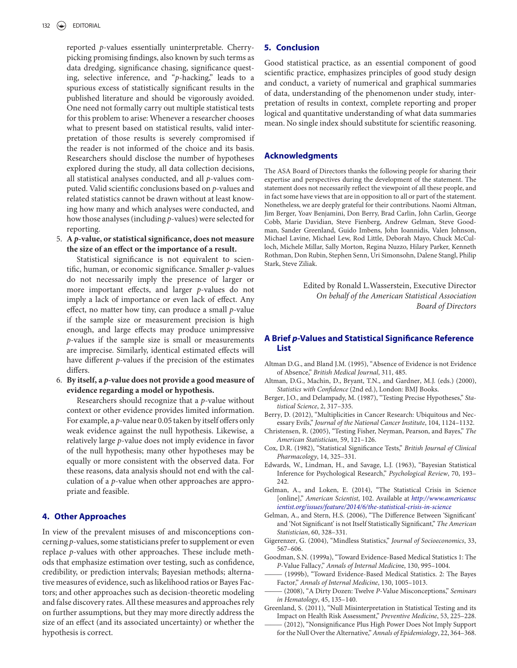reported *p*-values essentially uninterpretable. Cherrypicking promising findings, also known by such terms as data dredging, significance chasing, significance questing, selective inference, and "*p*-hacking," leads to a spurious excess of statistically significant results in the published literature and should be vigorously avoided. One need not formally carry out multiple statistical tests for this problem to arise: Whenever a researcher chooses what to present based on statistical results, valid interpretation of those results is severely compromised if the reader is not informed of the choice and its basis. Researchers should disclose the number of hypotheses explored during the study, all data collection decisions, all statistical analyses conducted, and all *p*-values computed. Valid scientific conclusions based on *p*-values and related statistics cannot be drawn without at least knowing how many and which analyses were conducted, and how those analyses (including *p*-values) were selected for reporting.

5. **A** *p***-value, or statistical significance, does not measure the size of an effect or the importance of a result.**

Statistical significance is not equivalent to scientific, human, or economic significance. Smaller *p*-values do not necessarily imply the presence of larger or more important effects, and larger *p*-values do not imply a lack of importance or even lack of effect. Any effect, no matter how tiny, can produce a small *p*-value if the sample size or measurement precision is high enough, and large effects may produce unimpressive *p*-values if the sample size is small or measurements are imprecise. Similarly, identical estimated effects will have different *p*-values if the precision of the estimates differs.

6. **By itself, a** *p***-value does not provide a good measure of evidence regarding a model or hypothesis.**

Researchers should recognize that a *p*-value without context or other evidence provides limited information. For example, a *p*-value near 0.05 taken by itself offers only weak evidence against the null hypothesis. Likewise, a relatively large *p*-value does not imply evidence in favor of the null hypothesis; many other hypotheses may be equally or more consistent with the observed data. For these reasons, data analysis should not end with the calculation of a *p*-value when other approaches are appropriate and feasible.

## **4. Other Approaches**

In view of the prevalent misuses of and misconceptions concerning *p*-values, some statisticians prefer to supplement or even replace *p*-values with other approaches. These include methods that emphasize estimation over testing, such as confidence, credibility, or prediction intervals; Bayesian methods; alternative measures of evidence, such as likelihood ratios or Bayes Factors; and other approaches such as decision-theoretic modeling and false discovery rates. All these measures and approaches rely on further assumptions, but they may more directly address the size of an effect (and its associated uncertainty) or whether the hypothesis is correct.

## **5. Conclusion**

Good statistical practice, as an essential component of good scientific practice, emphasizes principles of good study design and conduct, a variety of numerical and graphical summaries of data, understanding of the phenomenon under study, interpretation of results in context, complete reporting and proper logical and quantitative understanding of what data summaries mean. No single index should substitute for scientific reasoning.

#### **Acknowledgments**

The ASA Board of Directors thanks the following people for sharing their expertise and perspectives during the development of the statement. The statement does not necessarily reflect the viewpoint of all these people, and in fact some have views that are in opposition to all or part of the statement. Nonetheless, we are deeply grateful for their contributions. Naomi Altman, Jim Berger, Yoav Benjamini, Don Berry, Brad Carlin, John Carlin, George Cobb, Marie Davidian, Steve Fienberg, Andrew Gelman, Steve Goodman, Sander Greenland, Guido Imbens, John Ioannidis, Valen Johnson, Michael Lavine, Michael Lew, Rod Little, Deborah Mayo, Chuck McCulloch, Michele Millar, Sally Morton, Regina Nuzzo, Hilary Parker, Kenneth Rothman, Don Rubin, Stephen Senn, Uri Simonsohn, Dalene Stangl, Philip Stark, Steve Ziliak.

> Edited by Ronald L.Wasserstein, Executive Director *On behalf of the American Statistical Association Board of Directors*

## **A Brief** *p***-Values and Statistical Significance Reference List**

- Altman D.G., and Bland J.M. (1995), "Absence of Evidence is not Evidence of Absence," *British Medical Journal*, 311, 485.
- Altman, D.G., Machin, D., Bryant, T.N., and Gardner, M.J. (eds.) (2000), *Statistics with Confidence* (2nd ed.), London: BMJ Books.
- Berger, J.O., and Delampady, M. (1987), "Testing Precise Hypotheses," *Statistical Science*, 2, 317–335.
- Berry, D. (2012), "Multiplicities in Cancer Research: Ubiquitous and Necessary Evils," *Journal of the National Cancer Institute*, 104, 1124–1132.
- Christensen, R. (2005), "Testing Fisher, Neyman, Pearson, and Bayes," *The American Statistician*, 59, 121–126.
- Cox, D.R. (1982), "Statistical Significance Tests," *British Journal of Clinical Pharmacology*, 14, 325–331.
- Edwards, W., Lindman, H., and Savage, L.J. (1963), "Bayesian Statistical Inference for Psychological Research," *Psychological Review*, 70, 193– 242.
- Gelman, A., and Loken, E. (2014), "The Statistical Crisis in Science [online]," *American Scientist*, 102. Available at *http://www.americansc [ientist.org/issues/feature/2014/6/the-statistical-crisis-in-science](http://www.americanscientist.org/issues/feature/2014/6/the-statistical-crisis-in-science)*
- Gelman, A., and Stern, H.S. (2006), "The Difference Between 'Significant' and 'Not Significant' is not Itself Statistically Significant," *The American Statistician*, 60, 328–331.
- Gigerenzer, G. (2004), "Mindless Statistics," *Journal of Socioeconomics*, 33, 567–606.
- Goodman, S.N. (1999a), "Toward Evidence-Based Medical Statistics 1: The *P*-Value Fallacy," *Annals of Internal Medicin*e, 130, 995–1004.
- (1999b), "Toward Evidence-Based Medical Statistics. 2: The Bayes Factor," *Annals of Internal Medicine*, 130, 1005–1013.
- ——— (2008), "A Dirty Dozen: Twelve *P*-Value Misconceptions," *Seminars in Hematology*, 45, 135–140.
- Greenland, S. (2011), "Null Misinterpretation in Statistical Testing and its Impact on Health Risk Assessment," *Preventive Medicine*, 53, 225–228.
- (2012), "Nonsignificance Plus High Power Does Not Imply Support for the Null Over the Alternative," *Annals of Epidemiology*, 22, 364–368.